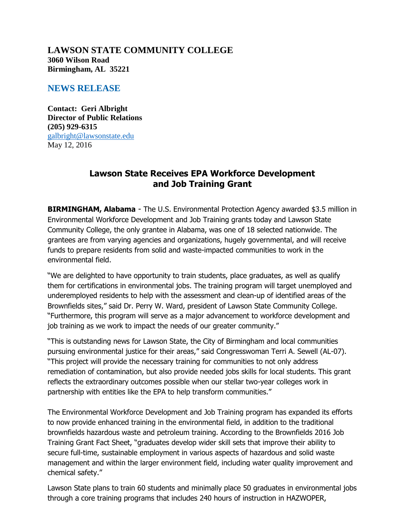**LAWSON STATE COMMUNITY COLLEGE 3060 Wilson Road Birmingham, AL 35221**

## **NEWS RELEASE**

**Contact: Geri Albright Director of Public Relations (205) 929-6315** [galbright@lawsonstate.edu](mailto:galbright@lawsonstate.edu) May 12, 2016

## **Lawson State Receives EPA Workforce Development and Job Training Grant**

**BIRMINGHAM, Alabama** - The U.S. Environmental Protection Agency awarded \$3.5 million in Environmental Workforce Development and Job Training grants today and Lawson State Community College, the only grantee in Alabama, was one of 18 selected nationwide. The grantees are from varying agencies and organizations, hugely governmental, and will receive funds to prepare residents from solid and waste-impacted communities to work in the environmental field.

"We are delighted to have opportunity to train students, place graduates, as well as qualify them for certifications in environmental jobs. The training program will target unemployed and underemployed residents to help with the assessment and clean-up of identified areas of the Brownfields sites," said Dr. Perry W. Ward, president of Lawson State Community College. "Furthermore, this program will serve as a major advancement to workforce development and job training as we work to impact the needs of our greater community."

"This is outstanding news for Lawson State, the City of Birmingham and local communities pursuing environmental justice for their areas," said Congresswoman Terri A. Sewell (AL-07). "This project will provide the necessary training for communities to not only address remediation of contamination, but also provide needed jobs skills for local students. This grant reflects the extraordinary outcomes possible when our stellar two-year colleges work in partnership with entities like the EPA to help transform communities."

The Environmental Workforce Development and Job Training program has expanded its efforts to now provide enhanced training in the environmental field, in addition to the traditional brownfields hazardous waste and petroleum training. According to the Brownfields 2016 Job Training Grant Fact Sheet, "graduates develop wider skill sets that improve their ability to secure full-time, sustainable employment in various aspects of hazardous and solid waste management and within the larger environment field, including water quality improvement and chemical safety."

Lawson State plans to train 60 students and minimally place 50 graduates in environmental jobs through a core training programs that includes 240 hours of instruction in HAZWOPER,